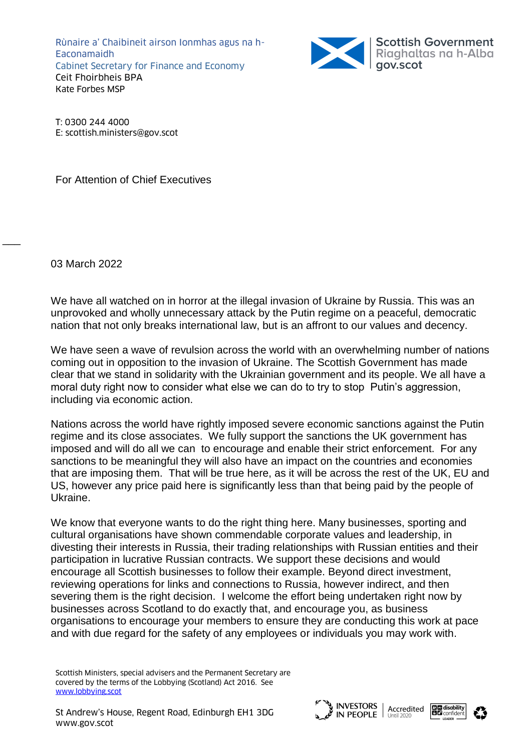Rùnaire a' Chaibineit airson Ionmhas agus na h-Eaconamaidh Cabinet Secretary for Finance and Economy Ceit Fhoirbheis BPA Kate Forbes MSP



T: 0300 244 4000 E: scottish.ministers@gov.scot

For Attention of Chief Executives

03 March 2022

 $\overline{\phantom{a}}$ 

We have all watched on in horror at the illegal invasion of Ukraine by Russia. This was an unprovoked and wholly unnecessary attack by the Putin regime on a peaceful, democratic nation that not only breaks international law, but is an affront to our values and decency.

We have seen a wave of revulsion across the world with an overwhelming number of nations coming out in opposition to the invasion of Ukraine. The Scottish Government has made clear that we stand in solidarity with the Ukrainian government and its people. We all have a moral duty right now to consider what else we can do to try to stop Putin's aggression, including via economic action.

Nations across the world have rightly imposed severe economic sanctions against the Putin regime and its close associates. We fully support the sanctions the UK government has imposed and will do all we can to encourage and enable their strict enforcement. For any sanctions to be meaningful they will also have an impact on the countries and economies that are imposing them. That will be true here, as it will be across the rest of the UK, EU and US, however any price paid here is significantly less than that being paid by the people of Ukraine.

We know that everyone wants to do the right thing here. Many businesses, sporting and cultural organisations have shown commendable corporate values and leadership, in divesting their interests in Russia, their trading relationships with Russian entities and their participation in lucrative Russian contracts. We support these decisions and would encourage all Scottish businesses to follow their example. Beyond direct investment, reviewing operations for links and connections to Russia, however indirect, and then severing them is the right decision. I welcome the effort being undertaken right now by businesses across Scotland to do exactly that, and encourage you, as business organisations to encourage your members to ensure they are conducting this work at pace and with due regard for the safety of any employees or individuals you may work with.

Scottish Ministers, special advisers and the Permanent Secretary are covered by the terms of the Lobbying (Scotland) Act 2016. See [www.lobbying.scot](http://www.lobbying.scot/)